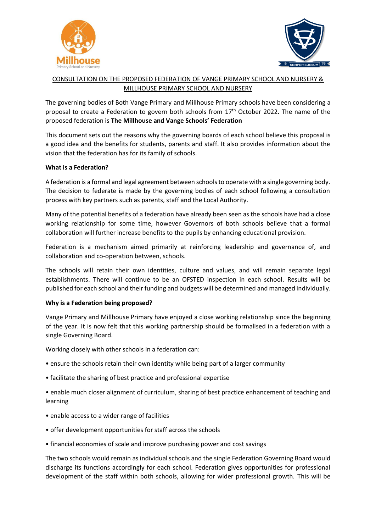



# CONSULTATION ON THE PROPOSED FEDERATION OF VANGE PRIMARY SCHOOL AND NURSERY & MILLHOUSE PRIMARY SCHOOL AND NURSERY

The governing bodies of Both Vange Primary and Millhouse Primary schools have been considering a proposal to create a Federation to govern both schools from 17<sup>th</sup> October 2022. The name of the proposed federation is **The Millhouse and Vange Schools' Federation**

This document sets out the reasons why the governing boards of each school believe this proposal is a good idea and the benefits for students, parents and staff. It also provides information about the vision that the federation has for its family of schools.

# **What is a Federation?**

A federation is a formal and legal agreement between schools to operate with a single governing body. The decision to federate is made by the governing bodies of each school following a consultation process with key partners such as parents, staff and the Local Authority.

Many of the potential benefits of a federation have already been seen as the schools have had a close working relationship for some time, however Governors of both schools believe that a formal collaboration will further increase benefits to the pupils by enhancing educational provision.

Federation is a mechanism aimed primarily at reinforcing leadership and governance of, and collaboration and co-operation between, schools.

The schools will retain their own identities, culture and values, and will remain separate legal establishments. There will continue to be an OFSTED inspection in each school. Results will be published for each school and their funding and budgets will be determined and managed individually.

#### **Why is a Federation being proposed?**

Vange Primary and Millhouse Primary have enjoyed a close working relationship since the beginning of the year. It is now felt that this working partnership should be formalised in a federation with a single Governing Board.

Working closely with other schools in a federation can:

- ensure the schools retain their own identity while being part of a larger community
- facilitate the sharing of best practice and professional expertise

• enable much closer alignment of curriculum, sharing of best practice enhancement of teaching and learning

- enable access to a wider range of facilities
- offer development opportunities for staff across the schools
- financial economies of scale and improve purchasing power and cost savings

The two schools would remain as individual schools and the single Federation Governing Board would discharge its functions accordingly for each school. Federation gives opportunities for professional development of the staff within both schools, allowing for wider professional growth. This will be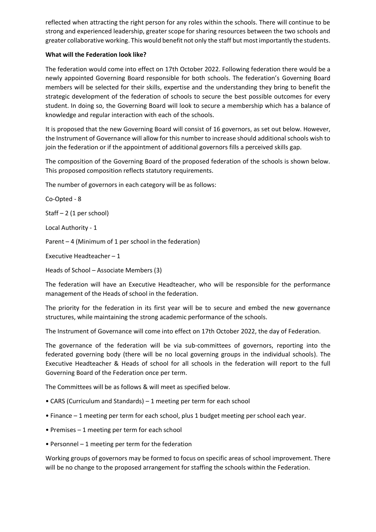reflected when attracting the right person for any roles within the schools. There will continue to be strong and experienced leadership, greater scope for sharing resources between the two schools and greater collaborative working. This would benefit not only the staff but most importantly the students.

## **What will the Federation look like?**

The federation would come into effect on 17th October 2022. Following federation there would be a newly appointed Governing Board responsible for both schools. The federation's Governing Board members will be selected for their skills, expertise and the understanding they bring to benefit the strategic development of the federation of schools to secure the best possible outcomes for every student. In doing so, the Governing Board will look to secure a membership which has a balance of knowledge and regular interaction with each of the schools.

It is proposed that the new Governing Board will consist of 16 governors, as set out below. However, the Instrument of Governance will allow for this number to increase should additional schools wish to join the federation or if the appointment of additional governors fills a perceived skills gap.

The composition of the Governing Board of the proposed federation of the schools is shown below. This proposed composition reflects statutory requirements.

The number of governors in each category will be as follows:

Co-Opted - 8

Staff – 2 (1 per school)

Local Authority - 1

Parent – 4 (Minimum of 1 per school in the federation)

Executive Headteacher – 1

Heads of School – Associate Members (3)

The federation will have an Executive Headteacher, who will be responsible for the performance management of the Heads of school in the federation.

The priority for the federation in its first year will be to secure and embed the new governance structures, while maintaining the strong academic performance of the schools.

The Instrument of Governance will come into effect on 17th October 2022, the day of Federation.

The governance of the federation will be via sub-committees of governors, reporting into the federated governing body (there will be no local governing groups in the individual schools). The Executive Headteacher & Heads of school for all schools in the federation will report to the full Governing Board of the Federation once per term.

The Committees will be as follows & will meet as specified below.

- CARS (Curriculum and Standards) 1 meeting per term for each school
- Finance 1 meeting per term for each school, plus 1 budget meeting per school each year.
- Premises 1 meeting per term for each school
- Personnel 1 meeting per term for the federation

Working groups of governors may be formed to focus on specific areas of school improvement. There will be no change to the proposed arrangement for staffing the schools within the Federation.